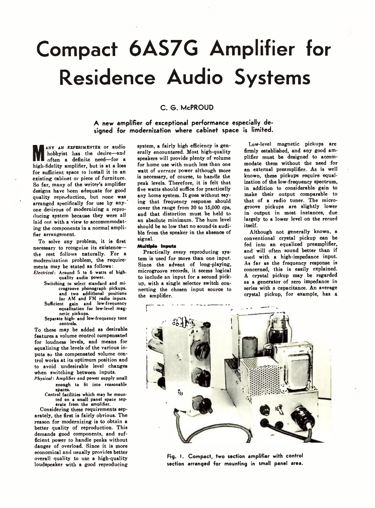# **Compact 6AS7G Amplifier for Residence Audio Systems**

### **C . G . McPROUD**

**A new amplifier of exceptional performance especially designed for modernization where cabinet space is limited.**

**M** often a definite need—for a<br>high-fidelity amplifier, but is at a loss any am experimenter or audio hobbyist has the desire—and often a definite need— for a for sufficient space to install it in an existing cabinet or piece of furniture. So far, many of the writer's amplifier designs have been adequate for good quality reproduction, but none was arranged specifically for use by anyone desirous of modernizing a reproducing system because they were all laid out with a view to accommmodating the components in a normal amplifier arrangement.

To solve any problem, it is first necessary to recognize its existence the rest follows naturally. For a modernization problem, the requirements may be stated as follows:

- *Electrical*: Around 5 to 6 watts of highquality audio power.
	- Switching to select standard and microgroove phonograph pickups, and two additional positions for AM and FM radio inputs.<br>Sufficient gain and low-frequency Sufficient gain and low-frequency equalization for low-level mag-
	- netic pickups. Separate high- and low-frequency tone controls.

To these may be added as desirable features a volume control compensated for loudness levels, and means for equalizing the levels of the various inputs so the compensated volume control works at its optimum position and to avoid undesirable level changes when switching between inputs.

- *Physical:* Amplifier and power supply small enough to fit into reasonable spaces.
	- Control facilities which may he mounted on a small panel space separate from the amplifier.

Considering these requirements separately, the first is fairly obvious. The reason for modernizing is to obtain a better quality of reproduction. This demands good components, and sufficient power to handle peaks without danger of overload. Since it is more economical and usually provides better overall quality to use a high-quality loudspeaker with a good reproducing

system, a fairly high efficiency is generally encountered. Most high-quality speakers will provide plenty of volume for home use with much less than one watt of *average* power although more is necessary, of course, to handle the peak levels. Therefore, it is felt that five watts should suffice for practically any home system. It goes without saying that frequency response should cover the range from 30 to 15,000 cps, and that distortion must be held to an absolute minimum. The hum level should be so low that no sound'is audible from the speaker in the absence of signal.

#### Multiple Inputs

Practically every reproducing system is used for more than one input. Since the advent of long-playing, microgroove records, it seems logical to include an input for a second pickup, with a single selector switch connecting the chosen input source to the amplifier.

Low-level magnetic pickups are firmly established, and any good amplifier must be designed to accommodate them without the need for an external preamplifier. As is well known, these pickups require equalization of the low-frequency spectrum, in addition to considerable gain to make their output comparable to that of a radio tuner. The microgroove pickups are slightly lower in output in most instances, due largely to a lower level on the record itself.

Although not generally known, a conventional crystal pickup can be fed into an equalized preamplifier, and will often sound better than if used with a high-impedance input. As far as the frequency response is concerned, this is easily explained. A crystal pickup may be regarded as a generator of zero impedance in series with a capacitance. An average crystal pickup, for example, has a



**Fig. I. Compact, two section amplifier with control section arranged for mounting in small panel area.**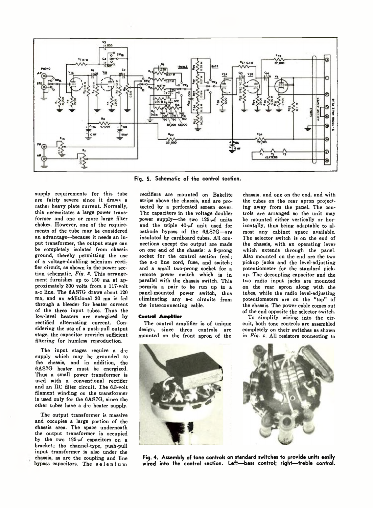

Fig. 5. Schematic of the control section.

supply requirements for this tube nre fairly severe since it draws a rather heavy plate current. Normally, this necessitates a large power transformer and one or more large filter chokes. However, one of the requirements of the tube may be considered an advantage—because it needs an input transformer, the output stage can be completely isolated from chassis ground, thereby permitting the use of a voltage-doubling selenium rectifier circuit, as shown in the power section schematic, *Fig. 3.* This arrangement furnishes up to 150 ma at approximately 300 volts from, a 117-volt a-c line. The 6AS7G draws about 120 ma, and an additional 30 ma is fed through a bleeder for heater current of the three input tubes. Thus the low-level heaters are energized by rectified alternating current. Considering the use of a push-pull output stage, the capacitor provides sufficient filtering for humless reproduction.

The input stages require a d-c supply which may be grounded to the chassis, and in addition, the 6AS7G heater must be energized. Thus a small power transformer is used with a conventional rectifier and an RC filter circuit. The 6.3-volt filament winding on the transformer is used only for the 6AS7G, since the other tubes have a d-c heater supply.

The output transformer is massive and occupies a large portion of the chassis area. The space underneath the output transformer is occupied by the two 125-uf capacitors on a bracket; the channel-type, push-pull input transformer is also under the chassis, as are the coupling and line bypass capacitors. The selenium

rectifiers are mounted on Bakelite strips above the chassis, and are protected by a perforated screen cover. The capacitors in the voltage doubler power supply-the two  $125-f$  units and the triple  $40 - \mu f$  unit used for cathode bypass of the 6AS7G-are insulated by cardboard tubes. All connections except the output are made on one end of the chassis: a 9-prong socket for the control section feed: the a-c line cord, fuse, and switch; and a small two-prong socket for a remote power switch which is in parallel with the chassis switch. This permits a pair to be run up to a panel-mounted power switch, thus eliminating any a-c circuits from the interconnecting cable.

#### Control Amplifier

The control amplifier is of unique design, since three controls are mounted on the front apron of the chassis, and one on the end, and with the tubes on the rear apron projecting away from the panel. The controls are arranged so the unit may be mounted either vertically or horizontally, thus being adaptable to almost any cabinet space available. The selector switch is on the end of the chassis, with an operating lever which extends through the panel. Also mounted on the end are the two pickup jacks and the level-adjusting potentiometer for the standard pickup. The decoupling capacitor and the two radio input jacks are mounted on the rear apron along with the tubes, while the radio level-adjusting potentiometers are on the "top" of the chassis. The power cable comes out of the end opposite the selector switch.

To simplify wiring into the circuit, both tone controls are assembled completely on their switches as shown in *Fig. 4.* All resistors connecting to



**Fig. 4. Assembly of tone controls on standard switches to provide units easily wired into the control section. Left— bass control; right— treble control.**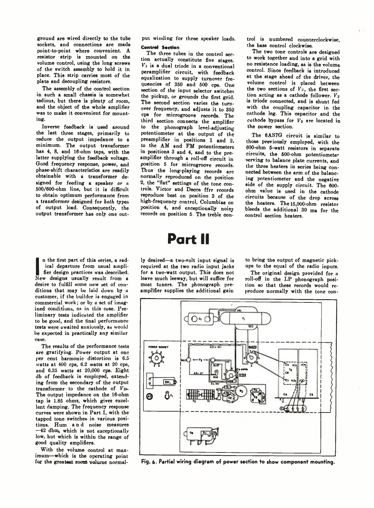ground are wired directly to the tube sockets, and connections are made point-to-point where convenient. A resistor strip is mounted on the volume control, using the long screws of the switch assembly to hold it in place. This strip carries most of the plate and decoupling resistors.

The assembly of the control section in such a small chassis is somewhat tedious, but there is plenty of room, and the object of the whole amplifier was to make it convenient for mounting.

Inverse feedback is used around the last three stages, primarily to reduce the output impedance to a minimum. The output transformer has 4, 8, and 16-ohm taps, with the latter supplying the feedback voltage. Good frequency response, power, and phase-shift characteristics are readily obtainable with a transformer designed for feeding a speaker or n 500/600-ohm line, but it is difficult to obtain optimum performance from a transformer designed for *both* types of output load. Consequently, the output transformer has only one out-

In the first part of this series, a radical departure from usual ampli-<br>fier design practices was described.<br>New designs usually result from a n the first part of this series, a radical departure from usual amplifier design practices was described. desire to fulfill some new set of conditions that may be laid down by a customer, if the builder is engaged in commercial work; or by a set of imagined conditions, ns in this case. Preliminary tests indicated the amplifier to be good, and the final performance tests were awaited anxiously, as would be expected in practically any similar case.

The results of the performance tests are gratifying. Power output at one per cent harmonic distortion is 6.5 watts at 400 cps, 6.2 watts at 20 cps, and 6.35 watts at 20,000 cps. Eight db of feedback is employed, extending from the secondary of the output transformer to the cathode of *Vs\*.* The output impedance on the 16-ohm tap is 1.85 ohms, which gives excellent damping. The frequency response curves were shown in Part. I, with the tapped tone switches in various positions. Hum and noise measures —42 dbm, which is not exceptionally low, but which is within the range of good quality amplifiers.

With the volume control at maximum—which is the operating point for the greatest room volume normalput winding for three speaker loads.

#### Control Section

The three tubes in the control section actually constitute five stages.  $V_1$  is a dual triode in a conventional peramplifier circuit, with feedback equalization to supply turnover frequencies of 350 and 500 cps. One section of the input selector switches the pickup, or grounds the first grid. The second section varies the turnover frequency, and adjusts it to 350 cps for microgroove records. The third section connects the amplifier to the phonograph level-adjusting potentiometer at the output of the preamplifier in positions 1 and 2, to the AM and FM potentiometers in positions 3 and 4, and to the preamplifier through a roll-off circuit in position 5 for microgroove records. Thus the long-playing records arc normally reproduced on the position 2, the "flat" settings of the tone controls. Victor and Decca ffrr records reproduce best on position 3 of the high-frequency control, Oolumbias on position 4, and exceptionally noisy records on position 5. The treble con-

# **Part II**

ly desired—a two-volt input signal is required at the two radio input jacks for a two-watt output. This does not leave much leeway, but will suffice for most tuners. The phonograph preamplifier supplies the additional gain

trol is numbered counterclockwise, the bass control clockwise.

The two tone controls are designed to work together and into a grid with no resistance loading, as is the volume control. Since feedback is introduced at the stage ahead of the driver, the volume control is placed between the two sections of  $\overrightarrow{V}_2$ , the first section acting as a cathode follower. *Vs* is triode connected, and is shunt fed with the coupling capacitor in the cathode leg. This capacitor and the cathode bypass for *Vs* are located in the power section.

The 6AS7G circuit is similar to those previously employed, with the 600-ohm 5-watt resistors in separate circuits, the 500-ohm potentiometer serving to balance plate currents, and the three heaters in series being connected between the arm of the balancing potentiometer and the negative side of the supply circuit. The 600 ohm value is used in the cathode circuits because of the drop across the heaters. The 15,000-ohm resistor bleeds the additional 30 ma for the control section heaters.

to bring the output of magnetic pickups to the equal of the radio inputs.

The original design provided for a roll-off in the LP phonograph position so that these records would reproduce normally with the tone con-



**Fig. 6- Partial wiring diagram of power section to show component mounting.**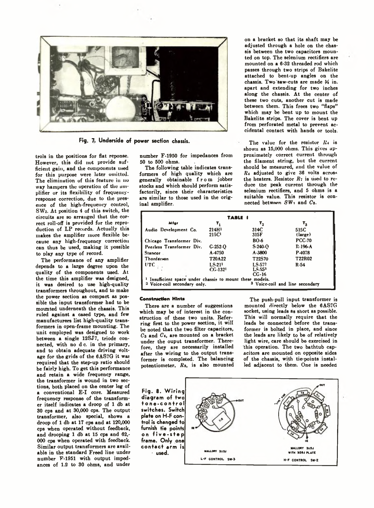

Fig. 7. Underside of power section chassis.

trols in the positions for flat reponse. However, this did not provide sufficient gain, and the components used for this purpose were later omitted. The elimination of this feature in no way hampers the operation of the amplifier or its flexibility of frequencyresponse correction, due to the presence of the high-frequency control, SW2. At position 4 of this switch, the circuits are so arranged that the correct roll-off is provided for the reproduction of LP records. Actually this makes the amplifier more flexible because any high-frequency correction can thus be used, making it possible to play any type of record.

The performance of any amplifier depends to a large degree upon the quality of the components used. At the time this amplifier was designed, it was desired to use high-quality transformers throughout, and to make the power section as compact as possible the input transformer had to be mounted underneath the chassis. This ruled against a cased type, and few manufacturers list high-quality transformers in open-frame mounting. The unit employed was designed to work between a single 12SJ7, triode connected, with no d c. in the primary, and to obtain adequate driving voltage for the grids of the 6AS7G it was required that the step-up ratio should be fairly high. To get this performance and retain a wide frequency range, the transformer is wound in two sections, both placed on the center leg of a conventional E-I core. Measured frequency response of the transformer itself indicates a droop of 1 db at 30 cps and at 30,000 cps. The output transformer, also special, shows a droop of 1 db at 17 cps and at 120,000 cps when operated without feedback, and drooping 1 db at 15 cps and 62,- 000 cps when operated with feedback. Similar output transformers are available in the standard Freed line under number F-1951 with output impedances of 1.2 to 30 ohms, and under

number F-1950 for impedances from 50 to 500 ohms.

The following table indicates transformers of high quality which are generally obtainable from jobber stocks and which should perform satisfactorily, since their characteristics are similar to those used in the original amplifier.

on a bracket so that its shaft may be adjusted through a hole on the chassis between the two capacitors mounted on top. The selenium rectifiers are mounted on a 6-32 threaded rod which passes through two strips of Bakelite attached to bent-up angles on the chassis. Two saw-cuts are made *H* in. apart and extending for two inches along the chassis. At the center of these two cuts, another cut is made between them. This frees two "flaps" which may be bent up to mount the Bakelite strips. The cover is bent up from perforated metal to prevent accidental contact with hands or tools.

The value for the resistor  $R_4$  is shown as 15,000 ohms. This gives approximately correct current through the filament string, but the current should be measured, and the value of *Rt* adjusted to give 36 volts across the heaters. Resistor  $R_7$  is used to reduce the peak current through the selenium rectifiers, and 5 ohms is a suitable value. This resistor is connected between *SW*1 and *Ca.*

| TABLE I                                                                               |                                        |                             |                                            |
|---------------------------------------------------------------------------------------|----------------------------------------|-----------------------------|--------------------------------------------|
| Mfar                                                                                  | т,                                     | τ,                          | $\mathbf{r_{a}}$                           |
| Audio Development Co.                                                                 | 214H <sup>1</sup><br>215C <sup>1</sup> | 314C<br>315F                | 515C<br>(large)                            |
| Chicago Transformer Div.                                                              |                                        | <b>BO.6</b>                 | <b>PCC.70</b>                              |
| Peerless Transformer Div.                                                             | C.252.0                                | $S-240-o$                   | $R-196-A$                                  |
| <b>Stancor</b>                                                                        | A-4750                                 | A.3800                      | P-4078                                     |
| Thordarson                                                                            | T20A22                                 | T22S70                      | T22R02                                     |
| UTC                                                                                   | $1.5-211$<br>CG·1321                   | LS-572<br>LS.553<br>$CC-16$ | R-54                                       |
| Insufficient space under chassis to mount these models.<br>Voice-coil secondary only. |                                        |                             | <sup>3</sup> Voice-coil and line secondary |

#### **Construction Hints**

There are a number of suggestions which may be of interest in the construction of these two units. Referring first to the power section, it will be noted that the two filter capacitors, *Ca* and *Ct,* are mounted on a bracket under the ouput transformer. Therefore, they are necessarily installed after the wiring to the output transformer is completed. The balancing potentiometer, *Ra,* is also mounted

The push-pull input transformer is mounted directly below the 6AS7G socket, using leads as short as possible. This will normally require that the leads be connected before the transformer is bolted in place, and since the leads are likely to be of relatively light wire, care should be exercised in this operation. The two bathtub capacitors are mounted on opposite sides of the chassis, with tie-points installed adjacent to them. One is needed

**F ig . 8. W irin g diagram of two tone-control switches. Switch plate on H-F control is changed to furnish tie points on five-ste p frame. Only one c o n t a c t arm is • used.**

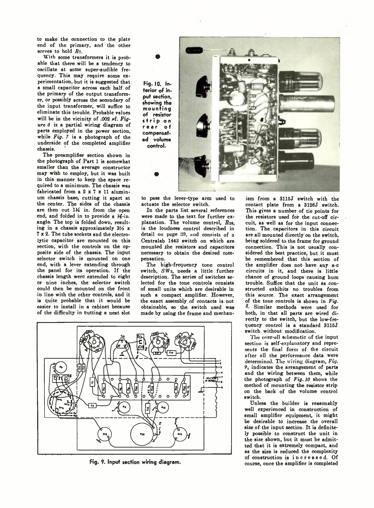to make the connection to the plate end of the primary, and the other serves to hold  $R_7$ .

With some transformers it is probahle that there will be a tendency to oscillate at some super-audible frequency. This may require some experimentation, but it is suggested that a small capacitor across each half of the primary of the output transformer, or possibly across the secondary of the input transformer, will suffice to eliminate this trouble. Probable values will be in the vicinity of .002  $\mu$ f. *Figure 6* is a partial wiring diagram of parts employed in the power section, while  $Fig. 7$  is a photograph of the underside of the completed amplifier chassis.

The preamplifier section shown in the photograph of Part 1 is somewhat smaller than the average constructor may wish to employ, but it was built in this manner to keep the space required to a minimum. The chassis was fabricated from a 2 x 7 x 11 aluminum chassis base, cutting it apart at the center. The sides of the chassis are then cut 11/4 in. from the open end, and folded in to provide a 16-in. angle. The top is folded down, resulting in a chassis approximately  $3\frac{1}{2}x$ 7x2. The tube sockets and the electrolytic capacitor are mounted on this section, with the controls on the opposite side of the chassis. The input selector switch is mounted on one end, with a lever extending through the panel for its operation. If the chassis length were extended to eight or nine inches, the selector switch could then be mounted on the front in line with the other controls, and it is quite probable that it would be easier to install in a cabinet because of the difficulty in butting a neat slot

**Fig. 10. Interior of input section, showing the mounting of resistor** stri p on rear of **compensated volume control.**

to pass the lever-type arm used to actuate the selector switch.

In the parts list several references were made to the text for further explanation. The volume control,  $R_{28}$ , is the loudness control described in detail on page 39, and consists of a Centralab 1443 switch on which are mounted the resistors and capacitors necessary to obtain the desired compensation.

The high-frequency tone control switch, SW<sub>2</sub>, needs a little further description. The series of switches selected for the tone controls consists of small units which are desirable in such a compact amplifier. However, the exact assembly of contacts is not obtainable, so the switch used was made by using the frame and mechan-



Fig. 9. Input section wiring diagram.

ism from a 3115J switch with the contact plate from a 3126J switch. This gives a number of tie points for the resistors used for the cut-off circuit, as well as for the input connection. The capacitors in this circuit are all mounted directly' on the switch, being soldered to the frame for ground connection. This is not usually considered the best practice, but it must be remembered that this section of the amplifier does not have any a-c circuits in it, and there is little chance of ground loops causing hum trouble. Suffice that the unit as constructed exhibits no troubles from this source. The exact arrangement of the tone controls is shown in *Fig.* Similar methods were used for both, in that all parts are wired directly to the switch, but the low-frequency control is a standard 3115J switch without modification.

The over-all schematic of the input section is self-explanatory and represents the final form of the circuit after all the performance data were determined. The wiving diagram, *Fig.* 9, indicates the arrangement of parts and the wiring between them, while the photograph of *Fig. 10* shows the method of mounting the resistor strip on the back of the volume control switch.

Unless the builder is reasonably well experienced in construction of small amplifier equipment, it might be desirable to increase the overall size of the input section. It is definitely possible to construct the unit in the size shown, but it must be admitted that it is extremely compact, and as the size is reduced the complexity of construction is increased. Of course, once the amplifier is completed